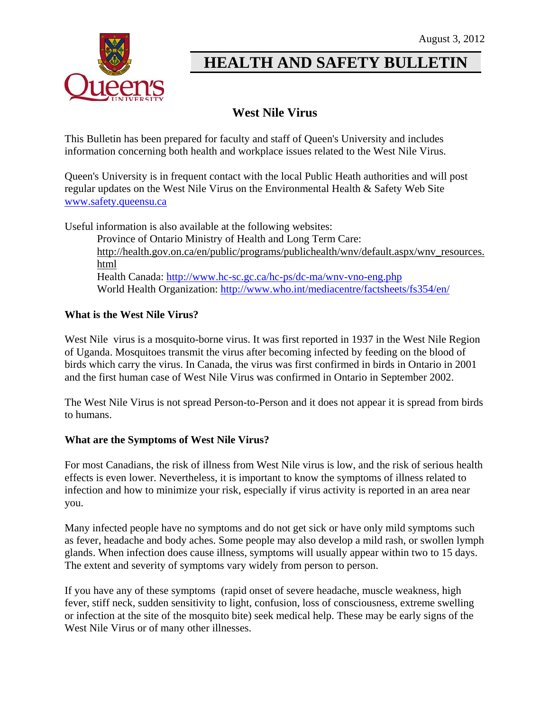

# **HEALTH AND SAFETY BULLETIN**

### **West Nile Virus**

This Bulletin has been prepared for faculty and staff of Queen's University and includes information concerning both health and workplace issues related to the West Nile Virus.

Queen's University is in frequent contact with the local Public Heath authorities and will post regular updates on the West Nile Virus on the Environmental Health & Safety Web Site www.safety.queensu.ca

Useful information is also available at the following websites:

Province of Ontario Ministry of Health and Long Term Care: http://health.gov.on.ca/en/public/programs/publichealth/wnv/default.aspx/wnv\_resources. html Health Canada: http://www.hc-sc.gc.ca/hc-ps/dc-ma/wnv-vno-eng.php World Health Organization: http://www.who.int/mediacentre/factsheets/fs354/en/

#### **What is the West Nile Virus?**

West Nile virus is a mosquito-borne virus. It was first reported in 1937 in the West Nile Region of Uganda. Mosquitoes transmit the virus after becoming infected by feeding on the blood of birds which carry the virus. In Canada, the virus was first confirmed in birds in Ontario in 2001 and the first human case of West Nile Virus was confirmed in Ontario in September 2002.

The West Nile Virus is not spread Person-to-Person and it does not appear it is spread from birds to humans.

#### **What are the Symptoms of West Nile Virus?**

For most Canadians, the risk of illness from West Nile virus is low, and the risk of serious health effects is even lower. Nevertheless, it is important to know the symptoms of illness related to infection and how to minimize your risk, especially if virus activity is reported in an area near you.

Many infected people have no symptoms and do not get sick or have only mild symptoms such as fever, headache and body aches. Some people may also develop a mild rash, or swollen lymph glands. When infection does cause illness, symptoms will usually appear within two to 15 days. The extent and severity of symptoms vary widely from person to person.

If you have any of these symptoms (rapid onset of severe headache, muscle weakness, high fever, stiff neck, sudden sensitivity to light, confusion, loss of consciousness, extreme swelling or infection at the site of the mosquito bite) seek medical help. These may be early signs of the West Nile Virus or of many other illnesses.